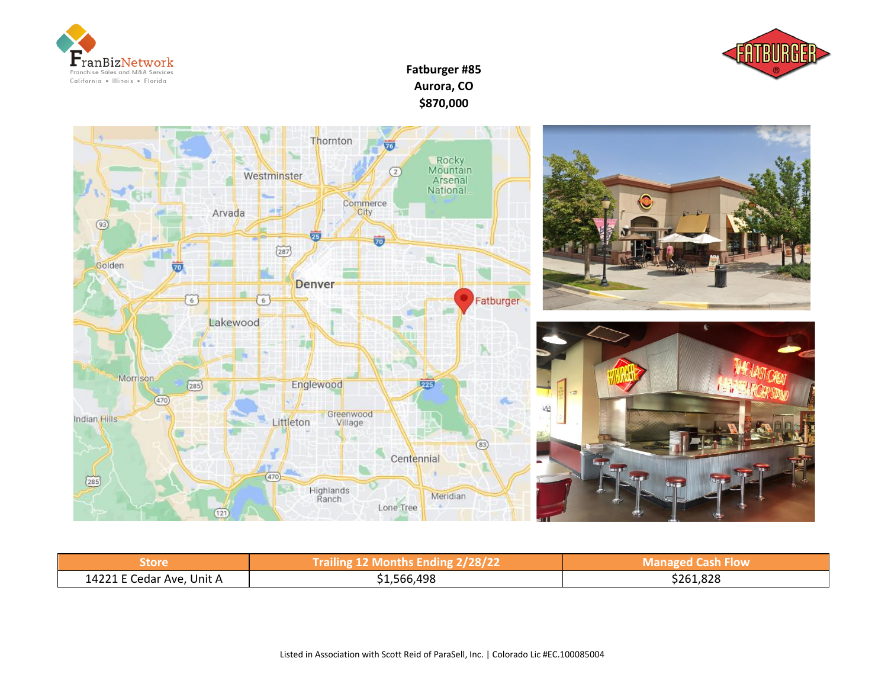



## **Fatburger #85 Aurora, CO \$870,000**



| <b>Store</b>              | Trailing 12 Months Ending 2/28/22 | <b>Managed Cash Flow</b> |
|---------------------------|-----------------------------------|--------------------------|
| 14221 E Cedar Ave, Unit A | \$1,566,498                       | \$261,828                |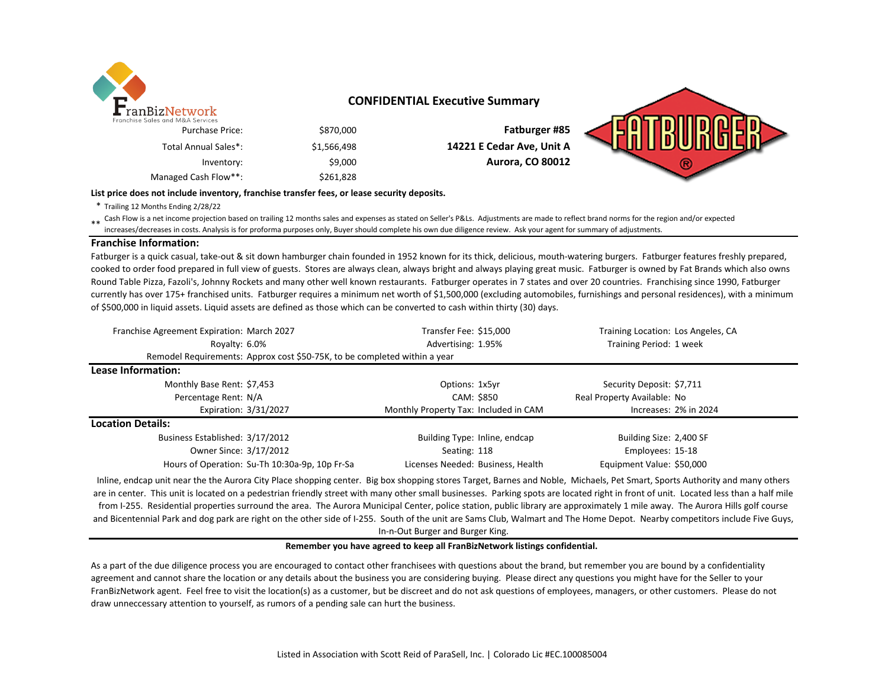

### **CONFIDENTIAL Executive Summary**

| Fatburger #85             | \$870,000   | Franchise Sales and M&A Services<br><b>Purchase Price:</b> |
|---------------------------|-------------|------------------------------------------------------------|
| 14221 E Cedar Ave, Unit A | \$1,566,498 | Total Annual Sales*:                                       |
| <b>Aurora, CO 80012</b>   | \$9,000     | Inventory:                                                 |
|                           | \$261,828   | Managed Cash Flow**:                                       |

#### **List price does not include inventory, franchise transfer fees, or lease security deposits.**

\* Trailing 12 Months Ending 2/28/22

\*\* Cash Flow is a net income projection based on trailing 12 months sales and expenses as stated on Seller's P&Ls. Adjustments are made to reflect brand norms for the region and/or expected<br>increased docrases in costs. App increases/decreases in costs. Analysis is for proforma purposes only, Buyer should complete his own due diligence review. Ask your agent for summary of adjustments.

#### **Franchise Information:**

Fatburger is a quick casual, take-out & sit down hamburger chain founded in 1952 known for its thick, delicious, mouth-watering burgers. Fatburger features freshly prepared, cooked to order food prepared in full view of guests. Stores are always clean, always bright and always playing great music. Fatburger is owned by Fat Brands which also owns Round Table Pizza, Fazoli's, Johnny Rockets and many other well known restaurants. Fatburger operates in 7 states and over 20 countries. Franchising since 1990, Fatburger currently has over 175+ franchised units. Fatburger requires a minimum net worth of \$1,500,000 (excluding automobiles, furnishings and personal residences), with a minimum of \$500,000 in liquid assets. Liquid assets are defined as those which can be converted to cash within thirty (30) days.

| Franchise Agreement Expiration: March 2027                                | Transfer Fee: \$15,000                | Training Location: Los Angeles, CA |  |  |
|---------------------------------------------------------------------------|---------------------------------------|------------------------------------|--|--|
| Royalty: 6.0%                                                             | Advertising: 1.95%                    | Training Period: 1 week            |  |  |
| Remodel Requirements: Approx cost \$50-75K, to be completed within a year |                                       |                                    |  |  |
| Lease Information:                                                        |                                       |                                    |  |  |
| Monthly Base Rent: \$7,453                                                | Options: 1x5yr                        | Security Deposit: \$7,711          |  |  |
| Percentage Rent: N/A                                                      | CAM: \$850                            | Real Property Available: No        |  |  |
| Expiration: 3/31/2027                                                     | Monthly Property Tax: Included in CAM | Increases: 2% in 2024              |  |  |
| <b>Location Details:</b>                                                  |                                       |                                    |  |  |
| Business Established: 3/17/2012                                           | Building Type: Inline, endcap         | Building Size: 2,400 SF            |  |  |
| Owner Since: 3/17/2012                                                    | Seating: 118                          | Employees: 15-18                   |  |  |
| Hours of Operation: Su-Th 10:30a-9p, 10p Fr-Sa                            | Licenses Needed: Business, Health     | Equipment Value: \$50,000          |  |  |

Inline, endcap unit near the the Aurora City Place shopping center. Big box shopping stores Target, Barnes and Noble, Michaels, Pet Smart, Sports Authority and many others are in center. This unit is located on a pedestrian friendly street with many other small businesses. Parking spots are located right in front of unit. Located less than a half mile from I-255. Residential properties surround the area. The Aurora Municipal Center, police station, public library are approximately 1 mile away. The Aurora Hills golf course and Bicentennial Park and dog park are right on the other side of I-255. South of the unit are Sams Club, Walmart and The Home Depot. Nearby competitors include Five Guys, In-n-Out Burger and Burger King.

#### **Remember you have agreed to keep all FranBizNetwork listings confidential.**

As a part of the due diligence process you are encouraged to contact other franchisees with questions about the brand, but remember you are bound by a confidentiality agreement and cannot share the location or any details about the business you are considering buying. Please direct any questions you might have for the Seller to your FranBizNetwork agent. Feel free to visit the location(s) as a customer, but be discreet and do not ask questions of employees, managers, or other customers. Please do not draw unneccessary attention to yourself, as rumors of a pending sale can hurt the business.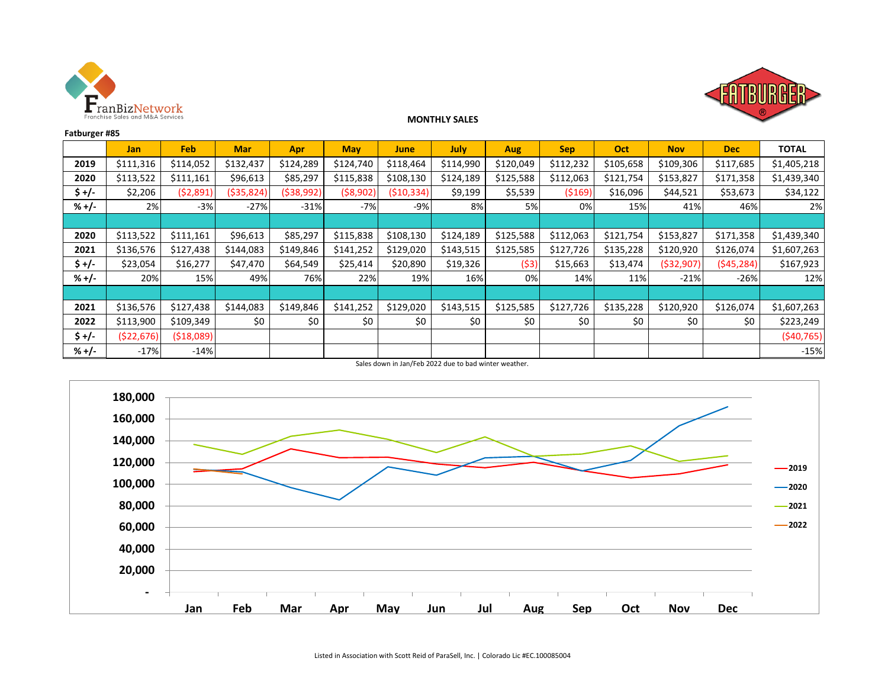



### **MONTHLY SALES**

| Fatburger #85 |            |           |            |            |            |             |           |            |            |           |              |            |              |
|---------------|------------|-----------|------------|------------|------------|-------------|-----------|------------|------------|-----------|--------------|------------|--------------|
|               | <b>Jan</b> | Feb       | <b>Mar</b> | Apr        | <b>May</b> | <b>June</b> | July      | <b>Aug</b> | <b>Sep</b> | Oct       | <b>Nov</b>   | <b>Dec</b> | <b>TOTAL</b> |
| 2019          | \$111,316  | \$114,052 | \$132,437  | \$124,289  | \$124,740  | \$118,464   | \$114,990 | \$120,049  | \$112,232  | \$105,658 | \$109,306    | \$117,685  | \$1,405,218  |
| 2020          | \$113,522  | \$111,161 | \$96,613   | \$85,297   | \$115,838  | \$108,130   | \$124,189 | \$125,588  | \$112,063  | \$121,754 | \$153,827    | \$171,358  | \$1,439,340  |
| \$+/-         | \$2,206    | (\$2,891) | (\$35,824) | (\$38,992) | (\$8,902)  | (\$10,334)  | \$9,199   | \$5,539    | ( \$169]   | \$16,096  | \$44,521     | \$53,673   | \$34,122     |
| $% +/-$       | 2%l        | $-3%$     | $-27%$     | $-31%$     | $-7%$      | $-9%$       | 8%        | 5%         | 0%         | 15%       | 41%          | 46%        | 2%           |
|               |            |           |            |            |            |             |           |            |            |           |              |            |              |
| 2020          | \$113,522  | \$111,161 | \$96,613   | \$85,297   | \$115,838  | \$108,130   | \$124,189 | \$125,588  | \$112,063  | \$121,754 | \$153,827    | \$171,358  | \$1,439,340  |
| 2021          | \$136,576  | \$127,438 | \$144,083  | \$149,846  | \$141,252  | \$129,020   | \$143,515 | \$125,585  | \$127,726  | \$135,228 | \$120,920    | \$126,074  | \$1,607,263  |
| $$+/-$        | \$23,054   | \$16,277  | \$47,470   | \$64,549   | \$25,414   | \$20,890    | \$19,326  | (53)       | \$15,663   | \$13,474  | ( \$32, 907) | (545, 284) | \$167,923    |
| $% +/-$       | 20%        | 15%       | 49%        | 76%        | 22%        | 19%         | 16%       | 0%         | 14%        | 11%       | $-21%$       | $-26%$     | 12%          |
|               |            |           |            |            |            |             |           |            |            |           |              |            |              |
| 2021          | \$136,576  | \$127,438 | \$144.083  | \$149,846  | \$141,252  | \$129,020   | \$143,515 | \$125,585  | \$127,726  | \$135,228 | \$120,920    | \$126,074  | \$1,607,263  |
| 2022          | \$113,900  | \$109,349 | \$0        | \$0        | \$0        | \$0         | \$0       | \$0        | \$0        | \$0       | \$0          | \$0        | \$223,249    |
| $$+/-$        | (\$22,676) | (518,089) |            |            |            |             |           |            |            |           |              |            | (540, 765)   |
| $% +/-$       | $-17%$     | $-14%$    |            |            |            |             |           |            |            |           |              |            | $-15%$       |

Sales down in Jan/Feb 2022 due to bad winter weather.

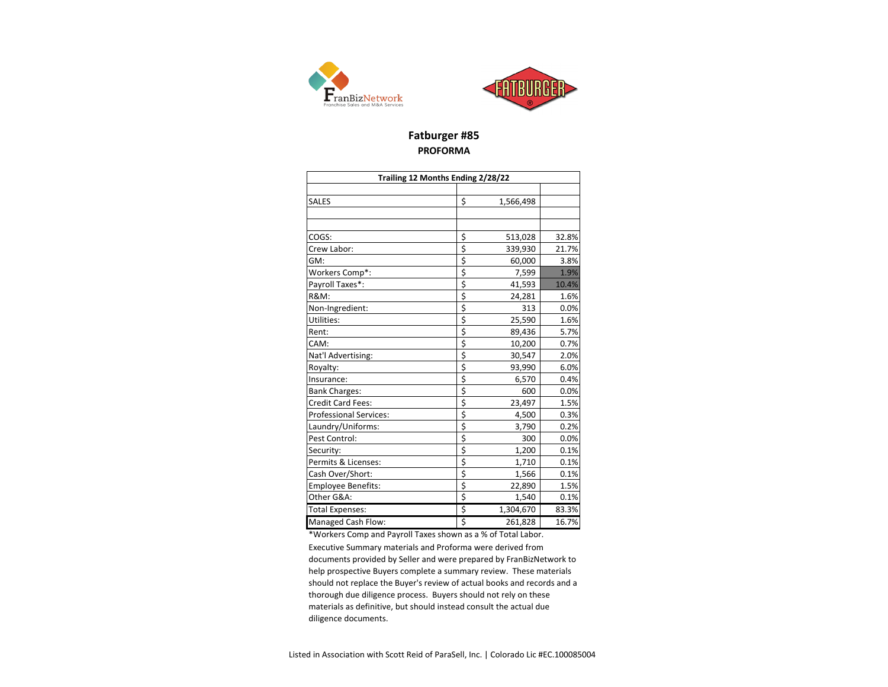



## **Fatburger #85 PROFORMA**

| Trailing 12 Months Ending 2/28/22 |    |           |       |  |  |  |  |
|-----------------------------------|----|-----------|-------|--|--|--|--|
|                                   |    |           |       |  |  |  |  |
| <b>SALES</b>                      | \$ | 1,566,498 |       |  |  |  |  |
|                                   |    |           |       |  |  |  |  |
|                                   |    |           |       |  |  |  |  |
| COGS:                             | \$ | 513,028   | 32.8% |  |  |  |  |
| Crew Labor:                       | \$ | 339,930   | 21.7% |  |  |  |  |
| GM:                               | \$ | 60,000    | 3.8%  |  |  |  |  |
| Workers Comp*:                    | \$ | 7,599     | 1.9%  |  |  |  |  |
| Payroll Taxes*:                   | \$ | 41,593    | 10.4% |  |  |  |  |
| <b>R&amp;M:</b>                   | \$ | 24,281    | 1.6%  |  |  |  |  |
| Non-Ingredient:                   | \$ | 313       | 0.0%  |  |  |  |  |
| Utilities:                        | \$ | 25,590    | 1.6%  |  |  |  |  |
| Rent:                             | \$ | 89,436    | 5.7%  |  |  |  |  |
| CAM:                              | \$ | 10,200    | 0.7%  |  |  |  |  |
| Nat'l Advertising:                | \$ | 30,547    | 2.0%  |  |  |  |  |
| Royalty:                          | \$ | 93,990    | 6.0%  |  |  |  |  |
| Insurance:                        | \$ | 6,570     | 0.4%  |  |  |  |  |
| <b>Bank Charges:</b>              | \$ | 600       | 0.0%  |  |  |  |  |
| <b>Credit Card Fees:</b>          | \$ | 23,497    | 1.5%  |  |  |  |  |
| <b>Professional Services:</b>     | \$ | 4,500     | 0.3%  |  |  |  |  |
| Laundry/Uniforms:                 | \$ | 3,790     | 0.2%  |  |  |  |  |
| Pest Control:                     | \$ | 300       | 0.0%  |  |  |  |  |
| Security:                         | \$ | 1,200     | 0.1%  |  |  |  |  |
| Permits & Licenses:               | \$ | 1,710     | 0.1%  |  |  |  |  |
| Cash Over/Short:                  | \$ | 1,566     | 0.1%  |  |  |  |  |
| <b>Employee Benefits:</b>         | \$ | 22,890    | 1.5%  |  |  |  |  |
| Other G&A:                        | \$ | 1,540     | 0.1%  |  |  |  |  |
| <b>Total Expenses:</b>            | \$ | 1,304,670 | 83.3% |  |  |  |  |
| <b>Managed Cash Flow:</b>         | \$ | 261,828   | 16.7% |  |  |  |  |

\*Workers Comp and Payroll Taxes shown as a % of Total Labor. Executive Summary materials and Proforma were derived from documents provided by Seller and were prepared by FranBizNetwork to help prospective Buyers complete a summary review. These materials should not replace the Buyer's review of actual books and records and a thorough due diligence process. Buyers should not rely on these materials as definitive, but should instead consult the actual due diligence documents.